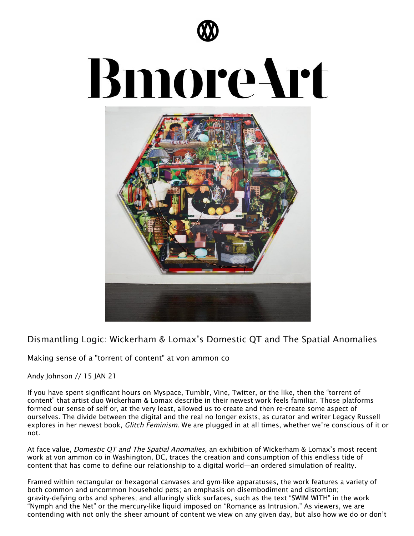

## **BmoreArt**



[Dismantling](https://bmoreart.com/2021/01/dismantling-logic-wickerham-lomaxs-domestic-qt-and-the-spatial-anomalies.html) Logic: Wickerham & Lomax's Domestic QT and The Spatial Anomalies

## Making sense of a "torrent of content" at von ammon co

Andy Johnson // 15 JAN 21

If you have spent significant hours on Myspace, Tumblr, Vine, Twitter, or the like, then the "torrent of content" that artist duo [Wickerham](https://www.vonammon.co/wickerhamlomax) & Lomax describe in their newest work feels familiar. Those platforms formed our sense of self or, at the very least, allowed us to create and then re-create some aspect of ourselves. The divide between the digital and the real no longer exists, as curator and writer Legacy Russell explores in her newest book, *Glitch Feminism*. We are plugged in at all times, whether we're conscious of it or not.

At face value, *Domestic QT and The Spatial [Anomalies](https://www.vonammon.co/wickerhamlomax)*, an exhibition of Wickerham & Lomax's most recent work at von [ammon](https://www.vonammon.co/) co in Washington, DC, traces the creation and consumption of this endless tide of content that has come to define our relationship to a digital world—an ordered simulation of reality.

Framed within rectangular or hexagonal canvases and gym-like apparatuses, the work features a variety of both common and uncommon household pets; an emphasis on disembodiment and distortion; gravity-defying orbs and spheres; and alluringly slick surfaces, such as the text "SWIM WITH" in the work "Nymph and the Net" or the mercury-like liquid imposed on "Romance as Intrusion." As viewers, we are contending with not only the sheer amount of content we view on any given day, but also how we do or don't